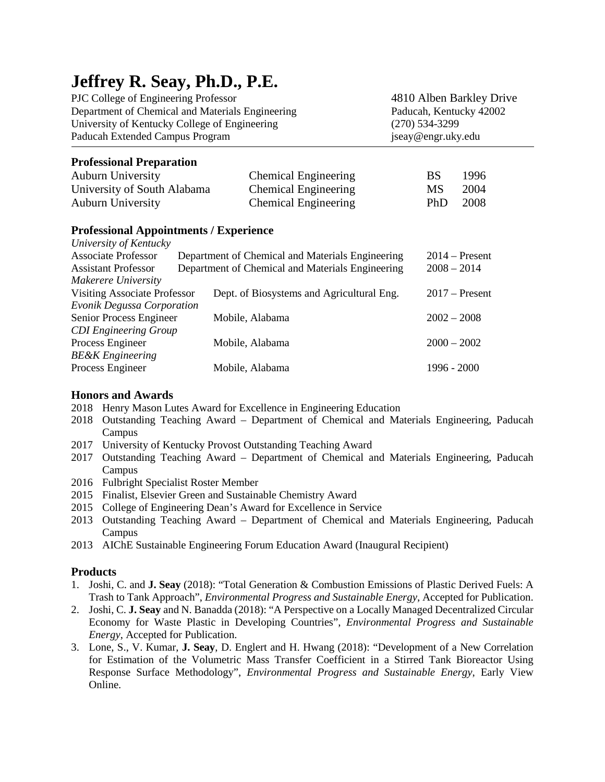# **Jeffrey R. Seay, Ph.D., P.E.**

PJC College of Engineering Professor 4810 Alben Barkley Drive Department of Chemical and Materials Engineering Paducah, Kentucky 42002 University of Kentucky College of Engineering (270) 534-3299 Paducah Extended Campus Program iseay@engr.uky.edu

## **Professional Preparation**

| <b>Auburn University</b>    | <b>Chemical Engineering</b> | <b>BS</b> | -1996  |
|-----------------------------|-----------------------------|-----------|--------|
| University of South Alabama | <b>Chemical Engineering</b> | MS -      | - 2004 |
| <b>Auburn University</b>    | <b>Chemical Engineering</b> | PhD.      | - 2008 |

### **Professional Appointments / Experience**

| University of Kentucky              |                                                  |                  |
|-------------------------------------|--------------------------------------------------|------------------|
| <b>Associate Professor</b>          | Department of Chemical and Materials Engineering | $2014$ – Present |
| <b>Assistant Professor</b>          | Department of Chemical and Materials Engineering | $2008 - 2014$    |
| Makerere University                 |                                                  |                  |
| <b>Visiting Associate Professor</b> | Dept. of Biosystems and Agricultural Eng.        | $2017$ – Present |
| <b>Evonik Degussa Corporation</b>   |                                                  |                  |
| Senior Process Engineer             | Mobile, Alabama                                  | $2002 - 2008$    |
| <b>CDI</b> Engineering Group        |                                                  |                  |
| Process Engineer                    | Mobile, Alabama                                  | $2000 - 2002$    |
| <b>BE&amp;K</b> Engineering         |                                                  |                  |
| Process Engineer                    | Mobile, Alabama                                  | $1996 - 2000$    |
|                                     |                                                  |                  |

### **Honors and Awards**

- 2018 Henry Mason Lutes Award for Excellence in Engineering Education
- 2018 Outstanding Teaching Award Department of Chemical and Materials Engineering, Paducah Campus
- 2017 University of Kentucky Provost Outstanding Teaching Award
- 2017 Outstanding Teaching Award Department of Chemical and Materials Engineering, Paducah Campus
- 2016 Fulbright Specialist Roster Member
- 2015 Finalist, Elsevier Green and Sustainable Chemistry Award
- 2015 College of Engineering Dean's Award for Excellence in Service
- 2013 Outstanding Teaching Award Department of Chemical and Materials Engineering, Paducah Campus
- 2013 AIChE Sustainable Engineering Forum Education Award (Inaugural Recipient)

### **Products**

- 1. Joshi, C. and **J. Seay** (2018): "Total Generation & Combustion Emissions of Plastic Derived Fuels: A Trash to Tank Approach", *Environmental Progress and Sustainable Energy*, Accepted for Publication.
- 2. Joshi, C. **J. Seay** and N. Banadda (2018): "A Perspective on a Locally Managed Decentralized Circular Economy for Waste Plastic in Developing Countries", *Environmental Progress and Sustainable Energy*, Accepted for Publication.
- 3. Lone, S., V. Kumar, **J. Seay**, D. Englert and H. Hwang (2018): "Development of a New Correlation for Estimation of the Volumetric Mass Transfer Coefficient in a Stirred Tank Bioreactor Using Response Surface Methodology", *Environmental Progress and Sustainable Energy*, Early View Online.